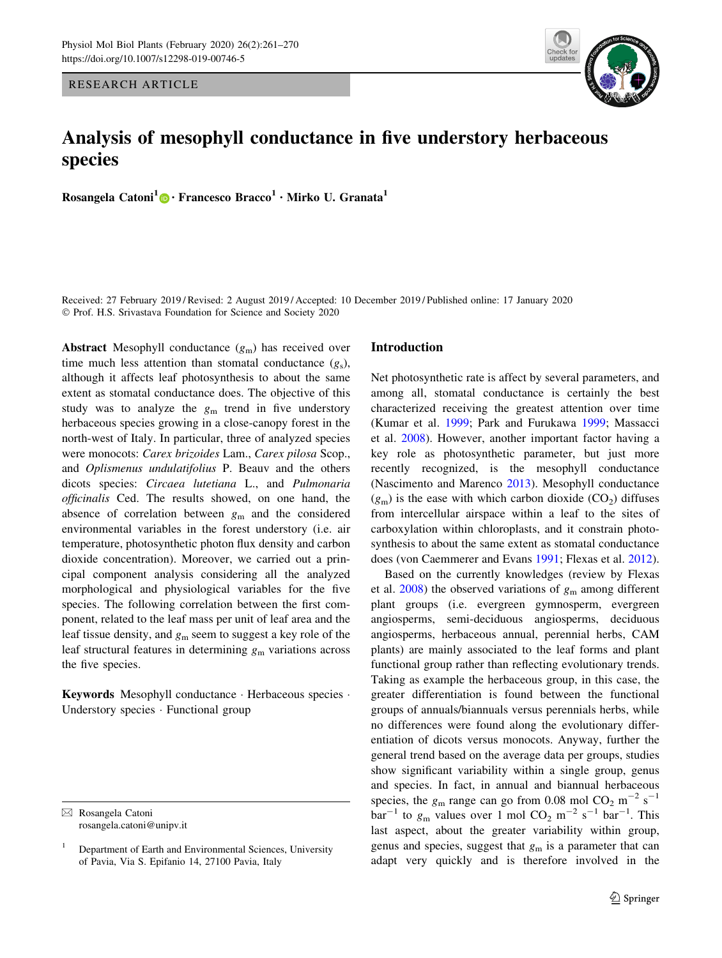RESEARCH ARTICLE

# Analysis of mesophyll conductance in five understory herbaceous species

Rosangela Catoni<sup>1</sup> [•](http://orcid.org/0000-0002-9613-7137) Francesco Bracco<sup>1</sup> • Mirko U. Granata<sup>1</sup>

Received: 27 February 2019 / Revised: 2 August 2019 / Accepted: 10 December 2019 / Published online: 17 January 2020 - Prof. H.S. Srivastava Foundation for Science and Society 2020

**Abstract** Mesophyll conductance  $(g_m)$  has received over time much less attention than stomatal conductance  $(g<sub>s</sub>)$ , although it affects leaf photosynthesis to about the same extent as stomatal conductance does. The objective of this study was to analyze the  $g_m$  trend in five understory herbaceous species growing in a close-canopy forest in the north-west of Italy. In particular, three of analyzed species were monocots: Carex brizoides Lam., Carex pilosa Scop., and Oplismenus undulatifolius P. Beauv and the others dicots species: Circaea lutetiana L., and Pulmonaria officinalis Ced. The results showed, on one hand, the absence of correlation between  $g_m$  and the considered environmental variables in the forest understory (i.e. air temperature, photosynthetic photon flux density and carbon dioxide concentration). Moreover, we carried out a principal component analysis considering all the analyzed morphological and physiological variables for the five species. The following correlation between the first component, related to the leaf mass per unit of leaf area and the leaf tissue density, and  $g_m$  seem to suggest a key role of the leaf structural features in determining  $g<sub>m</sub>$  variations across the five species.

Keywords Mesophyll conductance · Herbaceous species · Understory species - Functional group

# Introduction

Net photosynthetic rate is affect by several parameters, and among all, stomatal conductance is certainly the best characterized receiving the greatest attention over time (Kumar et al. [1999](#page-9-0); Park and Furukawa [1999;](#page-9-0) Massacci et al. [2008](#page-9-0)). However, another important factor having a key role as photosynthetic parameter, but just more recently recognized, is the mesophyll conductance (Nascimento and Marenco [2013](#page-9-0)). Mesophyll conductance  $(g<sub>m</sub>)$  is the ease with which carbon dioxide  $(CO<sub>2</sub>)$  diffuses from intercellular airspace within a leaf to the sites of carboxylation within chloroplasts, and it constrain photosynthesis to about the same extent as stomatal conductance does (von Caemmerer and Evans [1991;](#page-9-0) Flexas et al. [2012](#page-8-0)).

Based on the currently knowledges (review by Flexas et al.  $2008$ ) the observed variations of  $g<sub>m</sub>$  among different plant groups (i.e. evergreen gymnosperm, evergreen angiosperms, semi-deciduous angiosperms, deciduous angiosperms, herbaceous annual, perennial herbs, CAM plants) are mainly associated to the leaf forms and plant functional group rather than reflecting evolutionary trends. Taking as example the herbaceous group, in this case, the greater differentiation is found between the functional groups of annuals/biannuals versus perennials herbs, while no differences were found along the evolutionary differentiation of dicots versus monocots. Anyway, further the general trend based on the average data per groups, studies show significant variability within a single group, genus and species. In fact, in annual and biannual herbaceous species, the  $g_m$  range can go from 0.08 mol CO<sub>2</sub> m<sup>-2</sup> s<sup>-1</sup>  $bar^{-1}$  to  $g_m$  values over 1 mol CO<sub>2</sub> m<sup>-2</sup> s<sup>-1</sup> bar<sup>-1</sup>. This last aspect, about the greater variability within group, genus and species, suggest that  $g_m$  is a parameter that can adapt very quickly and is therefore involved in the



 $\boxtimes$  Rosangela Catoni rosangela.catoni@unipv.it

<sup>1</sup> Department of Earth and Environmental Sciences, University of Pavia, Via S. Epifanio 14, 27100 Pavia, Italy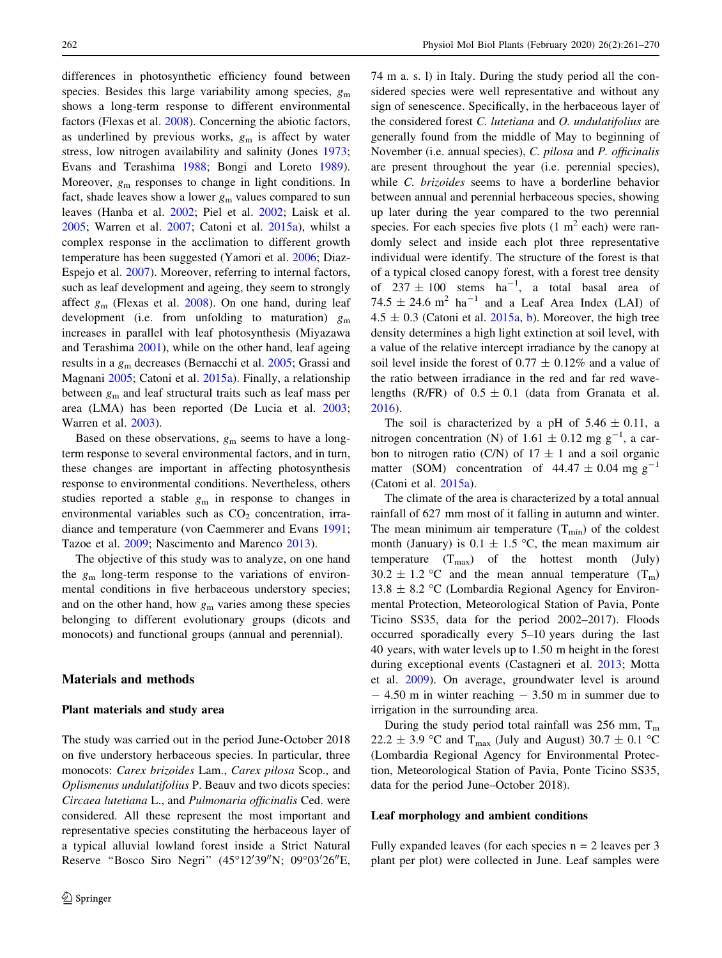differences in photosynthetic efficiency found between species. Besides this large variability among species,  $g<sub>m</sub>$ shows a long-term response to different environmental factors (Flexas et al. [2008\)](#page-8-0). Concerning the abiotic factors, as underlined by previous works,  $g_m$  is affect by water stress, low nitrogen availability and salinity (Jones [1973](#page-9-0); Evans and Terashima [1988;](#page-8-0) Bongi and Loreto [1989](#page-8-0)). Moreover,  $g_m$  responses to change in light conditions. In fact, shade leaves show a lower  $g_m$  values compared to sun leaves (Hanba et al. [2002](#page-9-0); Piel et al. [2002;](#page-9-0) Laisk et al. [2005;](#page-9-0) Warren et al. [2007;](#page-9-0) Catoni et al. [2015a\)](#page-8-0), whilst a complex response in the acclimation to different growth temperature has been suggested (Yamori et al. [2006](#page-9-0); Diaz-Espejo et al. [2007\)](#page-8-0). Moreover, referring to internal factors, such as leaf development and ageing, they seem to strongly affect  $g_m$  (Flexas et al. [2008](#page-8-0)). On one hand, during leaf development (i.e. from unfolding to maturation)  $g<sub>m</sub>$ increases in parallel with leaf photosynthesis (Miyazawa and Terashima [2001\)](#page-9-0), while on the other hand, leaf ageing results in a  $g<sub>m</sub>$  decreases (Bernacchi et al. [2005](#page-8-0); Grassi and Magnani [2005](#page-9-0); Catoni et al. [2015a](#page-8-0)). Finally, a relationship between  $g_m$  and leaf structural traits such as leaf mass per area (LMA) has been reported (De Lucia et al. [2003](#page-8-0); Warren et al. [2003](#page-9-0)).

Based on these observations,  $g_m$  seems to have a longterm response to several environmental factors, and in turn, these changes are important in affecting photosynthesis response to environmental conditions. Nevertheless, others studies reported a stable  $g_m$  in response to changes in environmental variables such as  $CO<sub>2</sub>$  concentration, irradiance and temperature (von Caemmerer and Evans [1991](#page-9-0); Tazoe et al. [2009;](#page-9-0) Nascimento and Marenco [2013](#page-9-0)).

The objective of this study was to analyze, on one hand the  $g_m$  long-term response to the variations of environmental conditions in five herbaceous understory species; and on the other hand, how  $g_m$  varies among these species belonging to different evolutionary groups (dicots and monocots) and functional groups (annual and perennial).

## Materials and methods

#### Plant materials and study area

The study was carried out in the period June-October 2018 on five understory herbaceous species. In particular, three monocots: Carex brizoides Lam., Carex pilosa Scop., and Oplismenus undulatifolius P. Beauv and two dicots species: Circaea lutetiana L., and Pulmonaria officinalis Ced. were considered. All these represent the most important and representative species constituting the herbaceous layer of a typical alluvial lowland forest inside a Strict Natural Reserve "Bosco Siro Negri" (45°12'39"N; 09°03'26"E,

74 m a. s. l) in Italy. During the study period all the considered species were well representative and without any sign of senescence. Specifically, in the herbaceous layer of the considered forest C. lutetiana and O. undulatifolius are generally found from the middle of May to beginning of November (i.e. annual species), C. pilosa and P. officinalis are present throughout the year (i.e. perennial species), while C. brizoides seems to have a borderline behavior between annual and perennial herbaceous species, showing up later during the year compared to the two perennial species. For each species five plots  $(1 \text{ m}^2 \text{ each})$  were randomly select and inside each plot three representative individual were identify. The structure of the forest is that of a typical closed canopy forest, with a forest tree density of  $237 \pm 100$  stems  $ha^{-1}$ , a total basal area of 74.5  $\pm$  24.6 m<sup>2</sup> ha<sup>-1</sup> and a Leaf Area Index (LAI) of  $4.5 \pm 0.3$  (Catoni et al. [2015a,](#page-8-0) [b](#page-8-0)). Moreover, the high tree density determines a high light extinction at soil level, with a value of the relative intercept irradiance by the canopy at soil level inside the forest of  $0.77 \pm 0.12\%$  and a value of the ratio between irradiance in the red and far red wavelengths (R/FR) of  $0.5 \pm 0.1$  (data from Granata et al. [2016](#page-9-0)).

The soil is characterized by a pH of  $5.46 \pm 0.11$ , a nitrogen concentration (N) of 1.61  $\pm$  0.12 mg g<sup>-1</sup>, a carbon to nitrogen ratio (C/N) of  $17 \pm 1$  and a soil organic matter (SOM) concentration of  $44.47 \pm 0.04$  mg g<sup>-1</sup> (Catoni et al. [2015a\)](#page-8-0).

The climate of the area is characterized by a total annual rainfall of 627 mm most of it falling in autumn and winter. The mean minimum air temperature  $(T_{min})$  of the coldest month (January) is  $0.1 \pm 1.5$  °C, the mean maximum air temperature  $(T_{max})$  of the hottest month (July)  $30.2 \pm 1.2$  °C and the mean annual temperature  $(T_m)$  $13.8 \pm 8.2$  °C (Lombardia Regional Agency for Environmental Protection, Meteorological Station of Pavia, Ponte Ticino SS35, data for the period 2002–2017). Floods occurred sporadically every 5–10 years during the last 40 years, with water levels up to 1.50 m height in the forest during exceptional events (Castagneri et al. [2013](#page-8-0); Motta et al. [2009](#page-9-0)). On average, groundwater level is around  $-4.50$  m in winter reaching  $-3.50$  m in summer due to irrigation in the surrounding area.

During the study period total rainfall was 256 mm,  $T_m$ 22.2  $\pm$  3.9 °C and T<sub>max</sub> (July and August) 30.7  $\pm$  0.1 °C (Lombardia Regional Agency for Environmental Protection, Meteorological Station of Pavia, Ponte Ticino SS35, data for the period June–October 2018).

## Leaf morphology and ambient conditions

Fully expanded leaves (for each species  $n = 2$  leaves per 3 plant per plot) were collected in June. Leaf samples were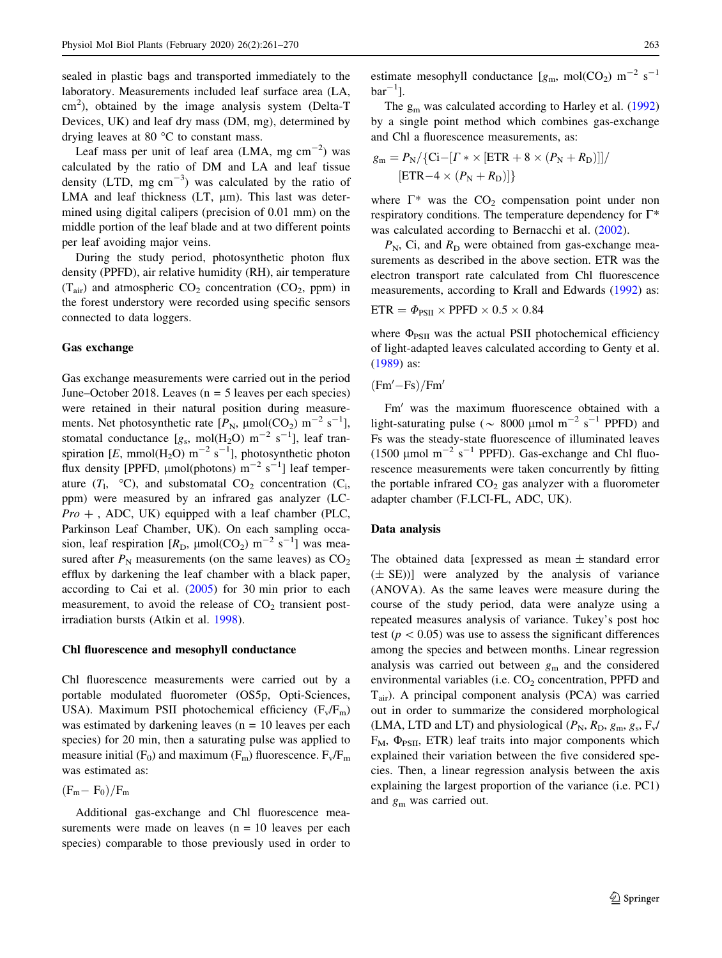sealed in plastic bags and transported immediately to the laboratory. Measurements included leaf surface area (LA,  $\text{cm}^2$ ), obtained by the image analysis system (Delta-T Devices, UK) and leaf dry mass (DM, mg), determined by drying leaves at 80 $\degree$ C to constant mass.

Leaf mass per unit of leaf area (LMA, mg  $\text{cm}^{-2}$ ) was calculated by the ratio of DM and LA and leaf tissue density (LTD, mg  $\text{cm}^{-3}$ ) was calculated by the ratio of LMA and leaf thickness  $(LT, \mu m)$ . This last was determined using digital calipers (precision of 0.01 mm) on the middle portion of the leaf blade and at two different points per leaf avoiding major veins.

During the study period, photosynthetic photon flux density (PPFD), air relative humidity (RH), air temperature  $(T_{air})$  and atmospheric  $CO<sub>2</sub>$  concentration  $(CO<sub>2</sub>, ppm)$  in the forest understory were recorded using specific sensors connected to data loggers.

## Gas exchange

Gas exchange measurements were carried out in the period June–October 2018. Leaves ( $n = 5$  leaves per each species) were retained in their natural position during measurements. Net photosynthetic rate  $[P_N, \mu \text{mol}(CO_2) \text{ m}^{-2} \text{ s}^{-1}]$ , stomatal conductance  $[g_s, mol(H_2O) \text{ m}^{-2} \text{ s}^{-1}]$ , leaf transpiration [E, mmol(H<sub>2</sub>O) m<sup>-2</sup> s<sup>-1</sup>], photosynthetic photon flux density [PPFD,  $\mu$ mol(photons) m<sup>-2</sup> s<sup>-1</sup>] leaf temperature  $(T_1, \,^{\circ}C)$ , and substomatal  $CO_2$  concentration  $(C_i,$ ppm) were measured by an infrared gas analyzer (LC- $Pro +$ , ADC, UK) equipped with a leaf chamber (PLC, Parkinson Leaf Chamber, UK). On each sampling occasion, leaf respiration  $[R_D, \mu \text{mol}(CO_2) \text{ m}^{-2} \text{ s}^{-1}]$  was measured after  $P_N$  measurements (on the same leaves) as  $CO_2$ efflux by darkening the leaf chamber with a black paper, according to Cai et al. [\(2005](#page-8-0)) for 30 min prior to each measurement, to avoid the release of  $CO<sub>2</sub>$  transient postirradiation bursts (Atkin et al. [1998](#page-8-0)).

## Chl fluorescence and mesophyll conductance

Chl fluorescence measurements were carried out by a portable modulated fluorometer (OS5p, Opti-Sciences, USA). Maximum PSII photochemical efficiency  $(F_v/F_m)$ was estimated by darkening leaves ( $n = 10$  leaves per each species) for 20 min, then a saturating pulse was applied to measure initial  $(F_0)$  and maximum  $(F_m)$  fluorescence.  $F_v/F_m$ was estimated as:

$$
(F_m - F_0)/F_m
$$

Additional gas-exchange and Chl fluorescence measurements were made on leaves  $(n = 10$  leaves per each species) comparable to those previously used in order to estimate mesophyll conductance  $[g_m, mol(CO_2) m^{-2} s^{-1}]$  $bar^{-1}$ ].

The  $g_m$  was calculated according to Harley et al. ([1992\)](#page-9-0) by a single point method which combines gas-exchange and Chl a fluorescence measurements, as:

$$
g_{\rm m} = P_{\rm N} / \{ \text{Ci} - [ \Gamma \ast \times [ \text{ETR} + 8 \times (P_{\rm N} + R_{\rm D}) ] ] /
$$
  
[ \text{ETR} - 4 \times (P\_{\rm N} + R\_{\rm D}) ] }

where  $\Gamma^*$  was the CO<sub>2</sub> compensation point under non respiratory conditions. The temperature dependency for  $\Gamma^*$ was calculated according to Bernacchi et al. ([2002\)](#page-8-0).

 $P_N$ , Ci, and  $R_D$  were obtained from gas-exchange measurements as described in the above section. ETR was the electron transport rate calculated from Chl fluorescence measurements, according to Krall and Edwards [\(1992](#page-9-0)) as:

$$
ETR = \Phi_{PSII} \times \text{PPFD} \times 0.5 \times 0.84
$$

where  $\Phi_{PSII}$  was the actual PSII photochemical efficiency of light-adapted leaves calculated according to Genty et al. [\(1989](#page-9-0)) as:

$$
(Fm'-Fs)/Fm'
$$

Fm<sup>'</sup> was the maximum fluorescence obtained with a light-saturating pulse ( $\sim 8000 \mu$ mol m<sup>-2</sup> s<sup>-1</sup> PPFD) and Fs was the steady-state fluorescence of illuminated leaves (1500  $\mu$ mol m<sup>-2</sup> s<sup>-1</sup> PPFD). Gas-exchange and Chl fluorescence measurements were taken concurrently by fitting the portable infrared  $CO<sub>2</sub>$  gas analyzer with a fluorometer adapter chamber (F.LCI-FL, ADC, UK).

### Data analysis

The obtained data [expressed as mean  $\pm$  standard error  $(\pm S$ E))] were analyzed by the analysis of variance (ANOVA). As the same leaves were measure during the course of the study period, data were analyze using a repeated measures analysis of variance. Tukey's post hoc test ( $p < 0.05$ ) was use to assess the significant differences among the species and between months. Linear regression analysis was carried out between  $g_m$  and the considered environmental variables (i.e. CO<sub>2</sub> concentration, PPFD and Tair). A principal component analysis (PCA) was carried out in order to summarize the considered morphological (LMA, LTD and LT) and physiological ( $P_N$ ,  $R_D$ ,  $g_m$ ,  $g_s$ ,  $F_v$ /  $F_M$ ,  $\Phi_{PSII}$ , ETR) leaf traits into major components which explained their variation between the five considered species. Then, a linear regression analysis between the axis explaining the largest proportion of the variance (i.e. PC1) and  $g_m$  was carried out.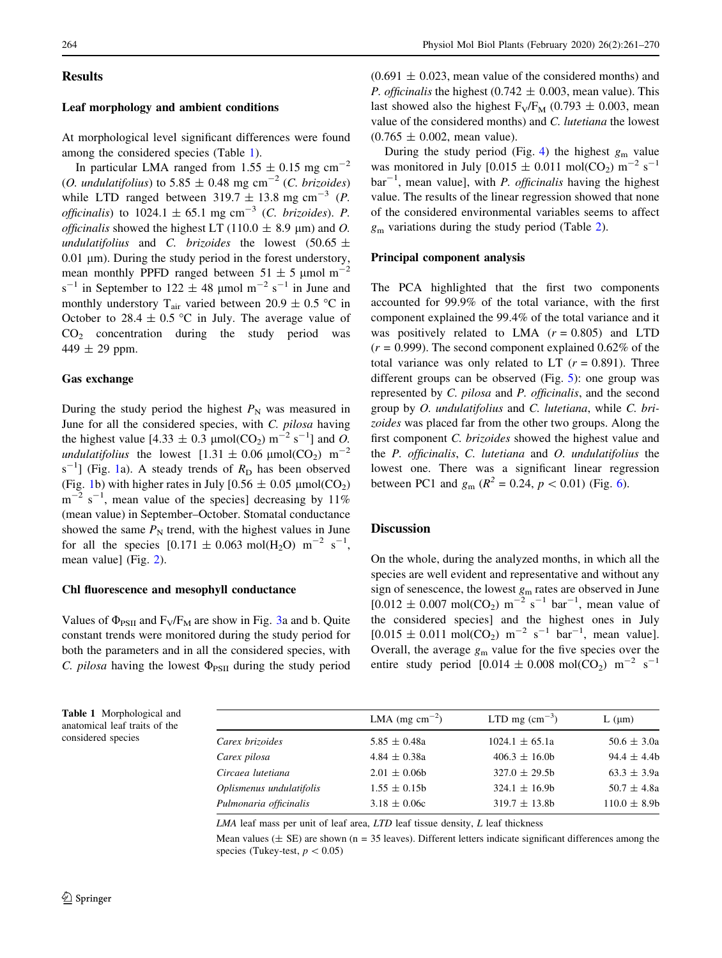# **Results**

# Leaf morphology and ambient conditions

At morphological level significant differences were found among the considered species (Table 1).

In particular LMA ranged from  $1.55 \pm 0.15$  mg cm<sup>-2</sup> (O. undulatifolius) to 5.85  $\pm$  0.48 mg cm<sup>-2</sup> (C. brizoides) while LTD ranged between  $319.7 \pm 13.8$  mg cm<sup>-3</sup> (*P*. *officinalis*) to 1024.1  $\pm$  65.1 mg cm<sup>-3</sup> (*C. brizoides*). *P. officinalis* showed the highest LT (110.0  $\pm$  8.9 µm) and O. undulatifolius and C. brizoides the lowest (50.65  $\pm$  $0.01 \mu m$ ). During the study period in the forest understory, mean monthly PPFD ranged between  $51 \pm 5$  µmol m<sup>-2</sup>  $s^{-1}$  in September to 122  $\pm$  48 µmol m<sup>-2</sup> s<sup>-1</sup> in June and monthly understory T<sub>air</sub> varied between 20.9  $\pm$  0.5 °C in October to 28.4  $\pm$  0.5 °C in July. The average value of  $CO<sub>2</sub>$  concentration during the study period was 449  $\pm$  29 ppm.

## Gas exchange

During the study period the highest  $P_N$  was measured in June for all the considered species, with C. pilosa having the highest value [4.33  $\pm$  0.3  $\mu$ mol(CO<sub>2</sub>) m<sup>-2</sup> s<sup>-1</sup>] and *O*. undulatifolius the lowest  $[1.31 \pm 0.06 \mu \text{mol}(\text{CO}_2) \text{ m}^{-2}$  $s^{-1}$  $s^{-1}$  $s^{-1}$ ] (Fig. 1a). A steady trends of  $R_D$  has been observed (Fig. [1](#page-4-0)b) with higher rates in July  $[0.56 \pm 0.05 \mu \text{mol}(\text{CO}_2)$ )  $m^{-2}$  s<sup>-1</sup>, mean value of the species] decreasing by 11% (mean value) in September–October. Stomatal conductance showed the same  $P_N$  trend, with the highest values in June for all the species  $[0.171 \pm 0.063 \text{ mol}(\text{H}_2\text{O}) \text{ m}^{-2} \text{ s}^{-1}$ , mean value] (Fig. [2\)](#page-5-0).

## Chl fluorescence and mesophyll conductance

Values of  $\Phi_{PSII}$  and  $F_V/F_M$  are show in Fig. [3a](#page-6-0) and b. Quite constant trends were monitored during the study period for both the parameters and in all the considered species, with C. pilosa having the lowest  $\Phi_{PSII}$  during the study period

 $(0.691 \pm 0.023)$ , mean value of the considered months) and *P. officinalis* the highest (0.742  $\pm$  0.003, mean value). This last showed also the highest  $F_V/F_M$  (0.793  $\pm$  0.003, mean value of the considered months) and C. lutetiana the lowest  $(0.765 \pm 0.002, \text{mean value}).$ 

During the study period (Fig. [4\)](#page-7-0) the highest  $g_m$  value was monitored in July  $[0.015 \pm 0.011 \text{ mol} (CO_2) \text{ m}^{-2} \text{ s}^{-1}$  $bar^{-1}$ , mean value], with *P. officinalis* having the highest value. The results of the linear regression showed that none of the considered environmental variables seems to affect  $g<sub>m</sub>$  variations during the study period (Table [2](#page-7-0)).

#### Principal component analysis

The PCA highlighted that the first two components accounted for 99.9% of the total variance, with the first component explained the 99.4% of the total variance and it was positively related to LMA  $(r = 0.805)$  and LTD  $(r = 0.999)$ . The second component explained 0.62% of the total variance was only related to LT  $(r = 0.891)$ . Three different groups can be observed (Fig. [5\)](#page-7-0): one group was represented by C. pilosa and P. officinalis, and the second group by O. undulatifolius and C. lutetiana, while C. brizoides was placed far from the other two groups. Along the first component C. brizoides showed the highest value and the P. officinalis, C. lutetiana and O. undulatifolius the lowest one. There was a significant linear regression between PC1 and  $g_m$  ( $R^2 = 0.24$ ,  $p < 0.01$ ) (Fig. [6\)](#page-8-0).

## Discussion

On the whole, during the analyzed months, in which all the species are well evident and representative and without any sign of senescence, the lowest  $g<sub>m</sub>$  rates are observed in June  $[0.012 \pm 0.007 \text{ mol}(\text{CO}_2) \text{ m}^{-2} \text{ s}^{-1} \text{ bar}^{-1}$ , mean value of the considered species] and the highest ones in July  $[0.015 \pm 0.011 \text{ mol}(\text{CO}_2) \text{ m}^{-2} \text{ s}^{-1} \text{ bar}^{-1}$ , mean value]. Overall, the average  $g_m$  value for the five species over the entire study period  $[0.014 \pm 0.008 \text{ mol}(\text{CO}_2) \text{ m}^{-2} \text{ s}^{-1}$ 

Table 1 Morphological and anatomical leaf traits of the considered species

|                          | LMA (mg $\text{cm}^{-2}$ ) | LTD mg $\rm (cm^{-3})$ | $L$ ( $\mu$ m)  |
|--------------------------|----------------------------|------------------------|-----------------|
| Carex brizoides          | $5.85 \pm 0.48a$           | $1024.1 \pm 65.1a$     | $50.6 \pm 3.0a$ |
| Carex pilosa             | $4.84 \pm 0.38a$           | $406.3 \pm 16.0$       | $94.4 \pm 4.4$  |
| Circaea lutetiana        | $2.01 \pm 0.06$            | $327.0 \pm 29.5$       | $63.3 \pm 3.9a$ |
| Oplismenus undulatifolis | $1.55 \pm 0.15$            | $324.1 \pm 16.9b$      | $50.7 \pm 4.8a$ |
| Pulmonaria officinalis   | $3.18 \pm 0.06c$           | $319.7 \pm 13.8$ b     | $110.0 \pm 8.9$ |
|                          |                            |                        |                 |

 $LMA$  leaf mass per unit of leaf area,  $LTD$  leaf tissue density,  $L$  leaf thickness

Mean values ( $\pm$  SE) are shown (n = 35 leaves). Different letters indicate significant differences among the species (Tukey-test,  $p < 0.05$ )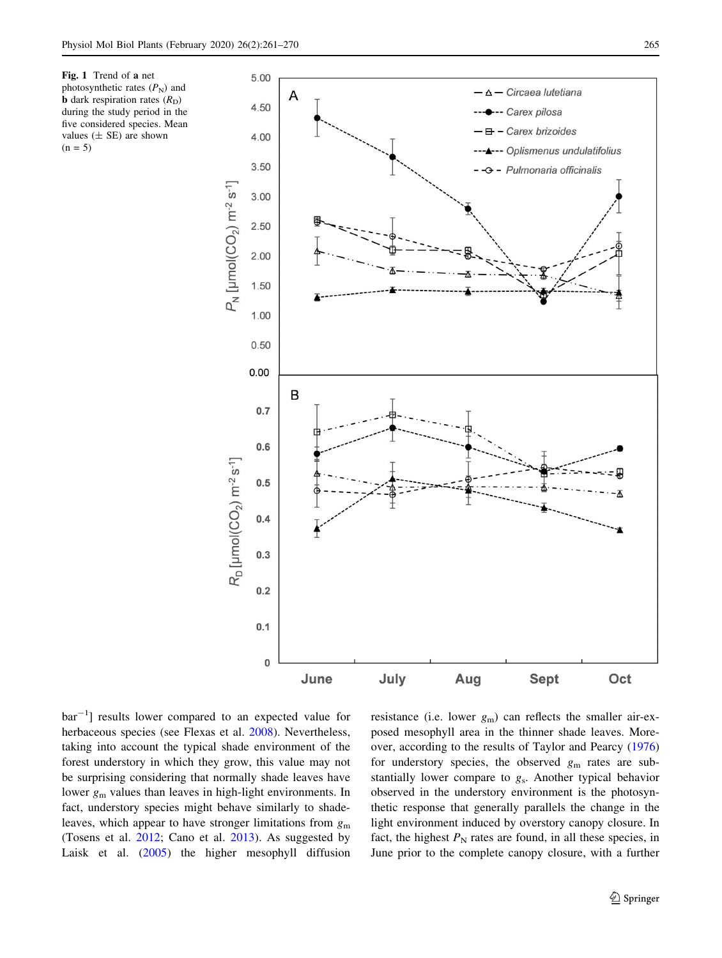<span id="page-4-0"></span>Fig. 1 Trend of a net photosynthetic rates  $(P_N)$  and **b** dark respiration rates  $(R_D)$ during the study period in the five considered species. Mean values  $(\pm$  SE) are shown  $(n = 5)$ 



bar<sup>-1</sup>] results lower compared to an expected value for herbaceous species (see Flexas et al. [2008\)](#page-8-0). Nevertheless, taking into account the typical shade environment of the forest understory in which they grow, this value may not be surprising considering that normally shade leaves have lower  $g_m$  values than leaves in high-light environments. In fact, understory species might behave similarly to shadeleaves, which appear to have stronger limitations from  $g<sub>m</sub>$ (Tosens et al. [2012](#page-9-0); Cano et al. [2013](#page-8-0)). As suggested by Laisk et al. ([2005\)](#page-9-0) the higher mesophyll diffusion

resistance (i.e. lower  $g_m$ ) can reflects the smaller air-exposed mesophyll area in the thinner shade leaves. Moreover, according to the results of Taylor and Pearcy ([1976\)](#page-9-0) for understory species, the observed  $g<sub>m</sub>$  rates are substantially lower compare to gs. Another typical behavior observed in the understory environment is the photosynthetic response that generally parallels the change in the light environment induced by overstory canopy closure. In fact, the highest  $P_N$  rates are found, in all these species, in June prior to the complete canopy closure, with a further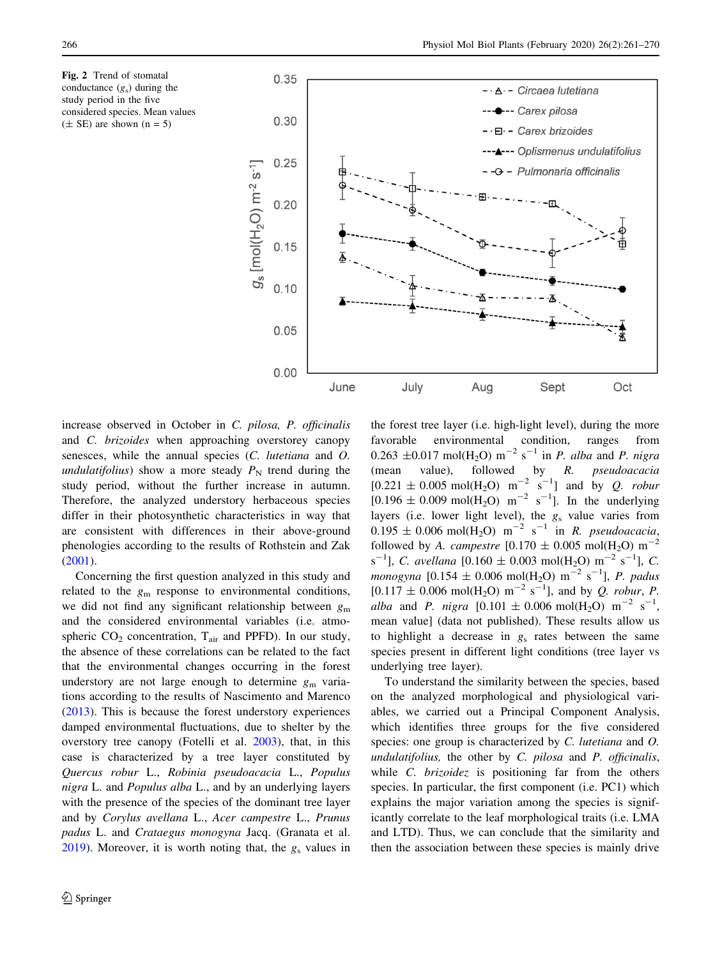<span id="page-5-0"></span>Fig. 2 Trend of stomatal conductance  $(g_s)$  during the study period in the five considered species. Mean values  $(\pm$  SE) are shown  $(n = 5)$ 



increase observed in October in C. pilosa, P. officinalis and C. brizoides when approaching overstorey canopy senesces, while the annual species (C. lutetiana and O. undulatifolius) show a more steady  $P<sub>N</sub>$  trend during the study period, without the further increase in autumn. Therefore, the analyzed understory herbaceous species differ in their photosynthetic characteristics in way that are consistent with differences in their above-ground phenologies according to the results of Rothstein and Zak [\(2001](#page-9-0)).

Concerning the first question analyzed in this study and related to the  $g<sub>m</sub>$  response to environmental conditions, we did not find any significant relationship between  $g<sub>m</sub>$ and the considered environmental variables (i.e. atmospheric  $CO<sub>2</sub>$  concentration,  $T<sub>air</sub>$  and PPFD). In our study, the absence of these correlations can be related to the fact that the environmental changes occurring in the forest understory are not large enough to determine  $g<sub>m</sub>$  variations according to the results of Nascimento and Marenco [\(2013](#page-9-0)). This is because the forest understory experiences damped environmental fluctuations, due to shelter by the overstory tree canopy (Fotelli et al. [2003\)](#page-9-0), that, in this case is characterized by a tree layer constituted by Quercus robur L., Robinia pseudoacacia L., Populus nigra L. and Populus alba L., and by an underlying layers with the presence of the species of the dominant tree layer and by Corylus avellana L., Acer campestre L., Prunus padus L. and Crataegus monogyna Jacq. (Granata et al. [2019\)](#page-9-0). Moreover, it is worth noting that, the  $g_s$  values in the forest tree layer (i.e. high-light level), during the more favorable environmental condition, ranges from  $0.263 \pm 0.017 \text{ mol} (H_2O) \text{ m}^{-2} \text{ s}^{-1}$  in *P. alba* and *P. nigra* (mean value), followed by R. pseudoacacia  $[0.221 \pm 0.005 \text{ mol} (H_2O) \text{ m}^{-2} \text{ s}^{-1}]$  and by *Q. robut*  $[0.196 \pm 0.009 \text{ mol} (H_2O) \text{ m}^{-2} \text{ s}^{-1}]$ . In the underlying layers (i.e. lower light level), the  $g_s$  value varies from  $0.195 \pm 0.006$  mol $(H_2O)$  m<sup>-2</sup> s<sup>-1</sup> in *R. pseudoacacia*, followed by A. campestre  $[0.170 \pm 0.005 \text{ mol}(\text{H}_2\text{O}) \text{ m}^{-2}$  $s^{-1}$ ], *C. avellana* [0.160  $\pm$  0.003 mol(H<sub>2</sub>O) m<sup>-2</sup> s<sup>-1</sup>], *C. monogyna* [0.154  $\pm$  0.006 mol(H<sub>2</sub>O) m<sup>-2</sup> s<sup>-1</sup>], *P. padus*  $[0.117 \pm 0.006 \text{ mol}(\text{H}_2\text{O}) \text{ m}^{-2} \text{ s}^{-1}]$ , and by *Q. robur*, *P.* alba and P. nigra  $[0.101 \pm 0.006 \text{ mol}(\text{H}_2\text{O}) \text{ m}^{-2} \text{ s}^{-1}$ , mean value] (data not published). These results allow us to highlight a decrease in  $g_s$  rates between the same species present in different light conditions (tree layer vs underlying tree layer).

To understand the similarity between the species, based on the analyzed morphological and physiological variables, we carried out a Principal Component Analysis, which identifies three groups for the five considered species: one group is characterized by C. *lutetiana* and O. undulatifolius, the other by  $C$ . pilosa and  $P$ . officinalis, while *C. brizoidez* is positioning far from the others species. In particular, the first component (i.e. PC1) which explains the major variation among the species is significantly correlate to the leaf morphological traits (i.e. LMA and LTD). Thus, we can conclude that the similarity and then the association between these species is mainly drive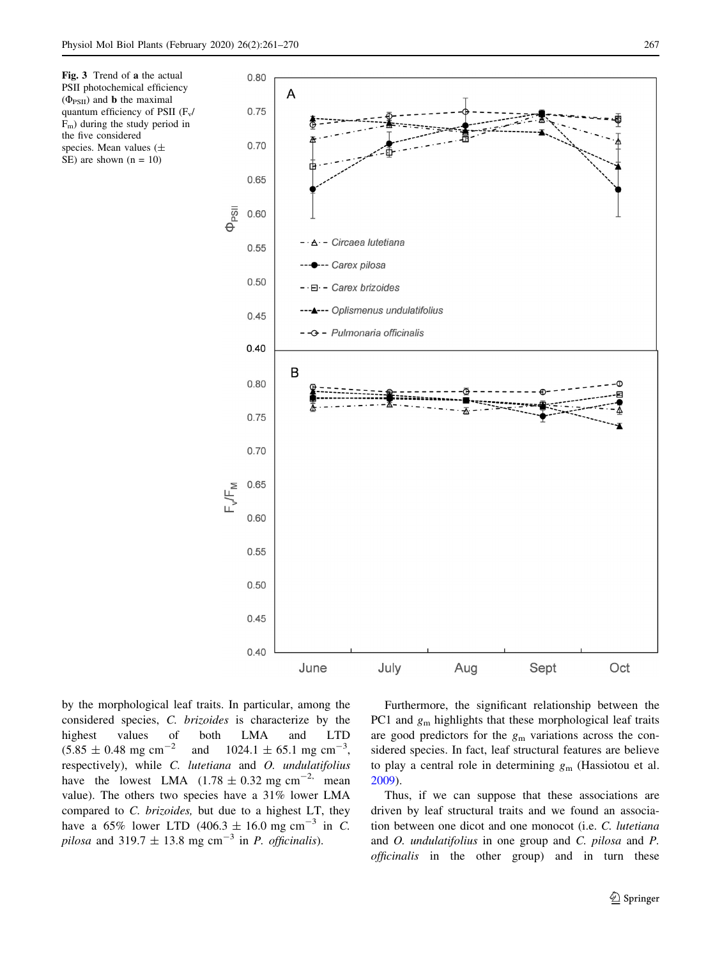<span id="page-6-0"></span>Fig. 3 Trend of a the actual PSII photochemical efficiency  $(\Phi_{PSII})$  and **b** the maximal quantum efficiency of PSII  $(F_v)$  $F<sub>m</sub>$ ) during the study period in the five considered species. Mean values (± SE) are shown  $(n = 10)$ 



by the morphological leaf traits. In particular, among the considered species, C. brizoides is characterize by the highest values of both LMA and LTD  $(5.85 \pm 0.48 \text{ mg cm}^{-2} \text{ and } 1024.1 \pm 65.1 \text{ mg cm}^{-3},$ respectively), while C. lutetiana and O. undulatifolius have the lowest LMA  $(1.78 \pm 0.32 \text{ mg cm}^{-2})$  mean value). The others two species have a 31% lower LMA compared to C. brizoides, but due to a highest LT, they have a 65% lower LTD (406.3  $\pm$  16.0 mg cm<sup>-3</sup> in *C*. pilosa and 319.7  $\pm$  13.8 mg cm<sup>-3</sup> in *P. officinalis*).

Furthermore, the significant relationship between the PC1 and  $g_m$  highlights that these morphological leaf traits are good predictors for the  $g<sub>m</sub>$  variations across the considered species. In fact, leaf structural features are believe to play a central role in determining  $g<sub>m</sub>$  (Hassiotou et al. [2009](#page-9-0)).

Thus, if we can suppose that these associations are driven by leaf structural traits and we found an association between one dicot and one monocot (i.e. C. lutetiana and O. undulatifolius in one group and C. pilosa and P. officinalis in the other group) and in turn these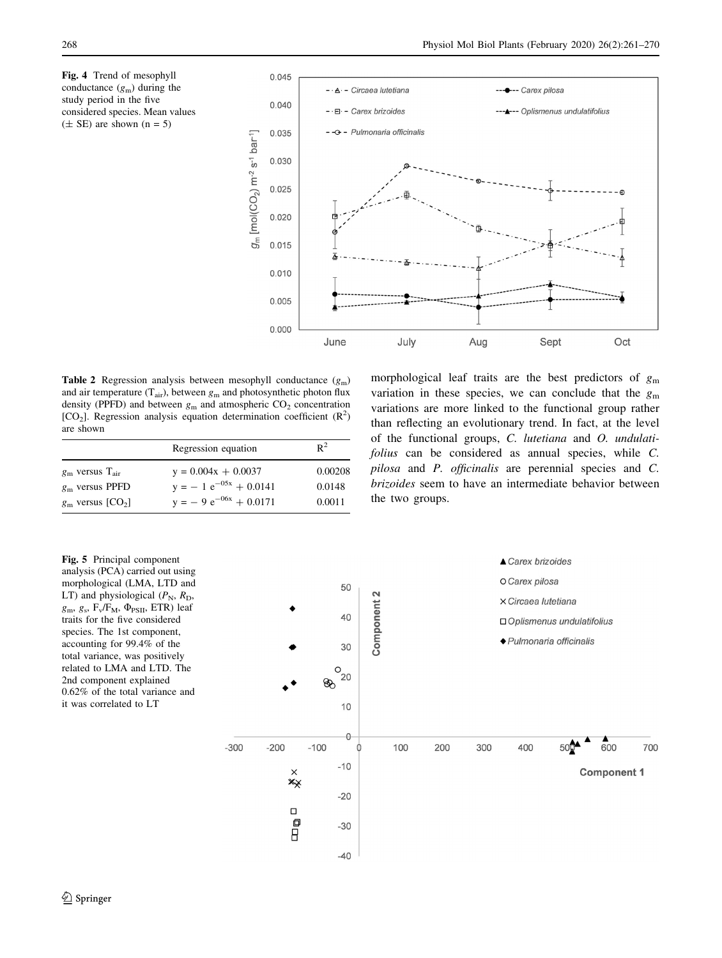<span id="page-7-0"></span>Fig. 4 Trend of mesophyll conductance  $(g_m)$  during the study period in the five considered species. Mean values  $(\pm$  SE) are shown  $(n = 5)$ 



**Table 2** Regression analysis between mesophyll conductance  $(g_m)$ and air temperature ( $T_{air}$ ), between  $g_m$  and photosynthetic photon flux density (PPFD) and between  $g_m$  and atmospheric  $CO_2$  concentration  $[CO<sub>2</sub>]$ . Regression analysis equation determination coefficient  $(R<sup>2</sup>)$ are shown

|                                  | Regression equation         | $R^2$   |
|----------------------------------|-----------------------------|---------|
| $g_{\rm m}$ versus $T_{\rm air}$ | $y = 0.004x + 0.0037$       | 0.00208 |
| $gm$ versus PPFD                 | $y = -1 e^{-0.5x} + 0.0141$ | 0.0148  |
| $g_{\rm m}$ versus $[CO_2]$      | $y = -9 e^{-06x} + 0.0171$  | 0.0011  |

morphological leaf traits are the best predictors of  $g<sub>m</sub>$ variation in these species, we can conclude that the  $g<sub>m</sub>$ variations are more linked to the functional group rather than reflecting an evolutionary trend. In fact, at the level of the functional groups, C. lutetiana and O. undulatifolius can be considered as annual species, while C. pilosa and P. officinalis are perennial species and C. brizoides seem to have an intermediate behavior between the two groups.

Fig. 5 Principal component analysis (PCA) carried out using morphological (LMA, LTD and LT) and physiological  $(P_N, R_D,$  $g_m$ ,  $g_s$ ,  $F_v/F_M$ ,  $\Phi_{PSII}$ , ETR) leaf traits for the five considered species. The 1st component, accounting for 99.4% of the total variance, was positively related to LMA and LTD. The 2nd component explained 0.62% of the total variance and it was correlated to LT

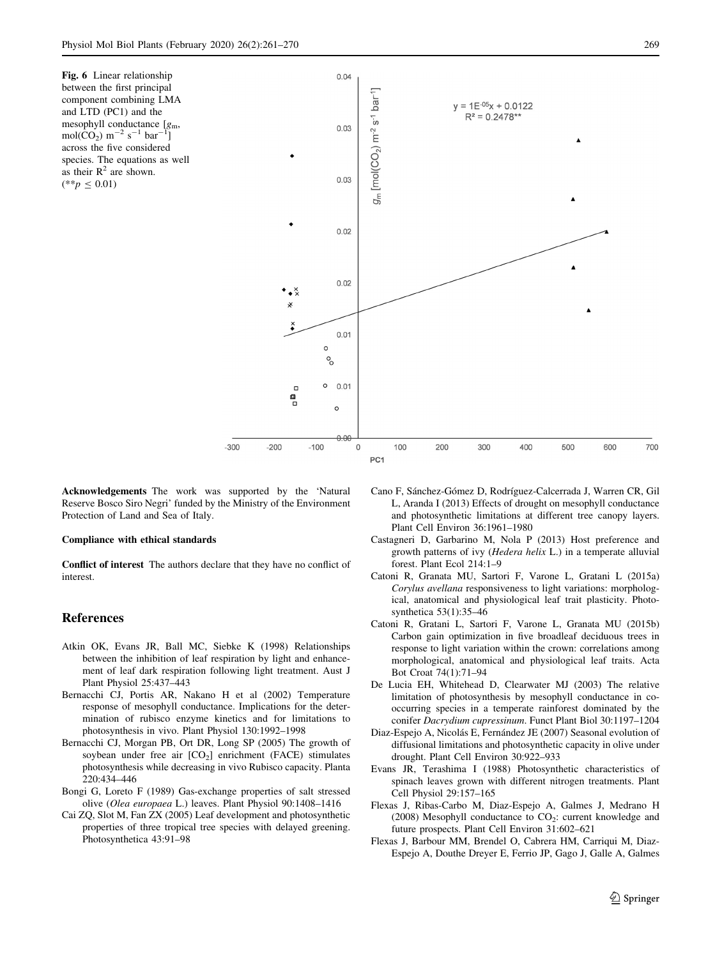<span id="page-8-0"></span>Fig. 6 Linear relationship between the first principal component combining LMA and LTD (PC1) and the mesophyll conductance  $[g_m,$  $mol(\rm{CO}_{2}) \; m^{-2} \; s^{-1} \; bar^{-1}]$ across the five considered species. The equations as well as their  $R^2$  are shown.  $(**p \le 0.01)$ 



Acknowledgements The work was supported by the 'Natural Reserve Bosco Siro Negri' funded by the Ministry of the Environment Protection of Land and Sea of Italy.

#### Compliance with ethical standards

Conflict of interest The authors declare that they have no conflict of interest.

## References

- Atkin OK, Evans JR, Ball MC, Siebke K (1998) Relationships between the inhibition of leaf respiration by light and enhancement of leaf dark respiration following light treatment. Aust J Plant Physiol 25:437–443
- Bernacchi CJ, Portis AR, Nakano H et al (2002) Temperature response of mesophyll conductance. Implications for the determination of rubisco enzyme kinetics and for limitations to photosynthesis in vivo. Plant Physiol 130:1992–1998
- Bernacchi CJ, Morgan PB, Ort DR, Long SP (2005) The growth of soybean under free air  $[CO<sub>2</sub>]$  enrichment (FACE) stimulates photosynthesis while decreasing in vivo Rubisco capacity. Planta 220:434–446
- Bongi G, Loreto F (1989) Gas-exchange properties of salt stressed olive (Olea europaea L.) leaves. Plant Physiol 90:1408–1416
- Cai ZQ, Slot M, Fan ZX (2005) Leaf development and photosynthetic properties of three tropical tree species with delayed greening. Photosynthetica 43:91–98
- Cano F, Sánchez-Gómez D, Rodríguez-Calcerrada J, Warren CR, Gil L, Aranda I (2013) Effects of drought on mesophyll conductance and photosynthetic limitations at different tree canopy layers. Plant Cell Environ 36:1961–1980
- Castagneri D, Garbarino M, Nola P (2013) Host preference and growth patterns of ivy (Hedera helix L.) in a temperate alluvial forest. Plant Ecol 214:1–9
- Catoni R, Granata MU, Sartori F, Varone L, Gratani L (2015a) Corylus avellana responsiveness to light variations: morphological, anatomical and physiological leaf trait plasticity. Photosynthetica 53(1):35–46
- Catoni R, Gratani L, Sartori F, Varone L, Granata MU (2015b) Carbon gain optimization in five broadleaf deciduous trees in response to light variation within the crown: correlations among morphological, anatomical and physiological leaf traits. Acta Bot Croat 74(1):71–94
- De Lucia EH, Whitehead D, Clearwater MJ (2003) The relative limitation of photosynthesis by mesophyll conductance in cooccurring species in a temperate rainforest dominated by the conifer Dacrydium cupressinum. Funct Plant Biol 30:1197–1204
- Diaz-Espejo A, Nicolás E, Fernández JE (2007) Seasonal evolution of diffusional limitations and photosynthetic capacity in olive under drought. Plant Cell Environ 30:922–933
- Evans JR, Terashima I (1988) Photosynthetic characteristics of spinach leaves grown with different nitrogen treatments. Plant Cell Physiol 29:157–165
- Flexas J, Ribas-Carbo M, Diaz-Espejo A, Galmes J, Medrano H (2008) Mesophyll conductance to  $CO<sub>2</sub>$ : current knowledge and future prospects. Plant Cell Environ 31:602–621
- Flexas J, Barbour MM, Brendel O, Cabrera HM, Carriqui M, Diaz-Espejo A, Douthe Dreyer E, Ferrio JP, Gago J, Galle A, Galmes